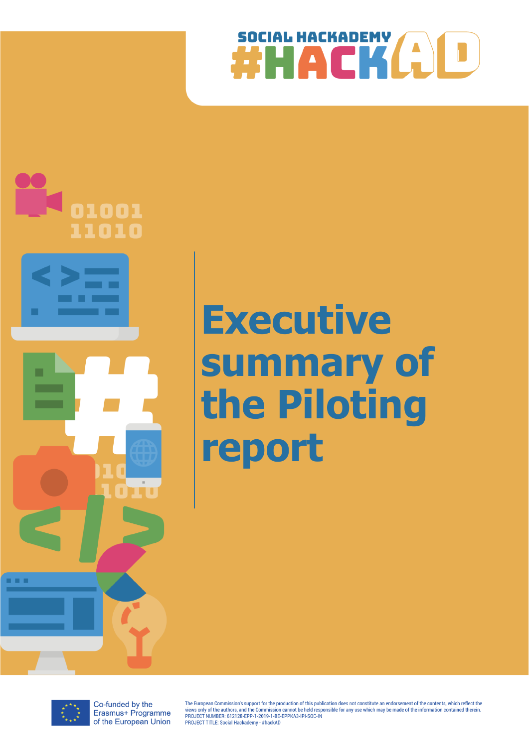



# **Executive summary of the Piloting report**



Co-funded by the Erasmus+ Programme of the European Union The European Commission's support for the production of this publication does not constitute an endorsement of the contents, which reflect the views only of the authors, and the Commission cannot be held responsible for any use which may be made of the information contained therein.<br>PROJECT NUMBER: 612128-EPP-1-2019-1-BE-EPPKA3-IPI-SOC-IN PROJECT TITLE: Social Hackademy - #hackAD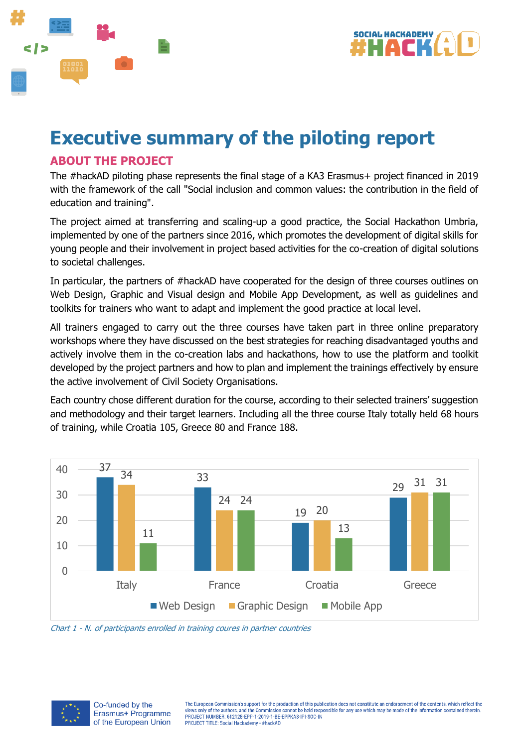



# **Executive summary of the piloting report**

## **ABOUT THE PROJECT**

The #hackAD piloting phase represents the final stage of a KA3 Erasmus+ project financed in 2019 with the framework of the call "Social inclusion and common values: the contribution in the field of education and training".

The project aimed at transferring and scaling-up a good practice, the Social Hackathon Umbria, implemented by one of the partners since 2016, which promotes the development of digital skills for young people and their involvement in project based activities for the co-creation of digital solutions to societal challenges.

In particular, the partners of #hackAD have cooperated for the design of three courses outlines on Web Design, Graphic and Visual design and Mobile App Development, as well as guidelines and toolkits for trainers who want to adapt and implement the good practice at local level.

All trainers engaged to carry out the three courses have taken part in three online preparatory workshops where they have discussed on the best strategies for reaching disadvantaged youths and actively involve them in the co-creation labs and hackathons, how to use the platform and toolkit developed by the project partners and how to plan and implement the trainings effectively by ensure the active involvement of Civil Society Organisations.

Each country chose different duration for the course, according to their selected trainers' suggestion and methodology and their target learners. Including all the three course Italy totally held 68 hours of training, while Croatia 105, Greece 80 and France 188.



Chart 1 - N. of participants enrolled in training coures in partner countries



Co-funded by the Erasmus+ Programme of the European Union The European Commission's support for the production of this publication does not constitute an endorsement of the contents, which reflect the views only of the authors, and the Commission cannot be held responsible for any use which may be made of the information contained therein PROJECT NUMBER: 612128-EPP-1-2019-1-BE-EPPKA3-IPI-SOC-IN PROJECT TITLE: Social Hackademy - #hackAD